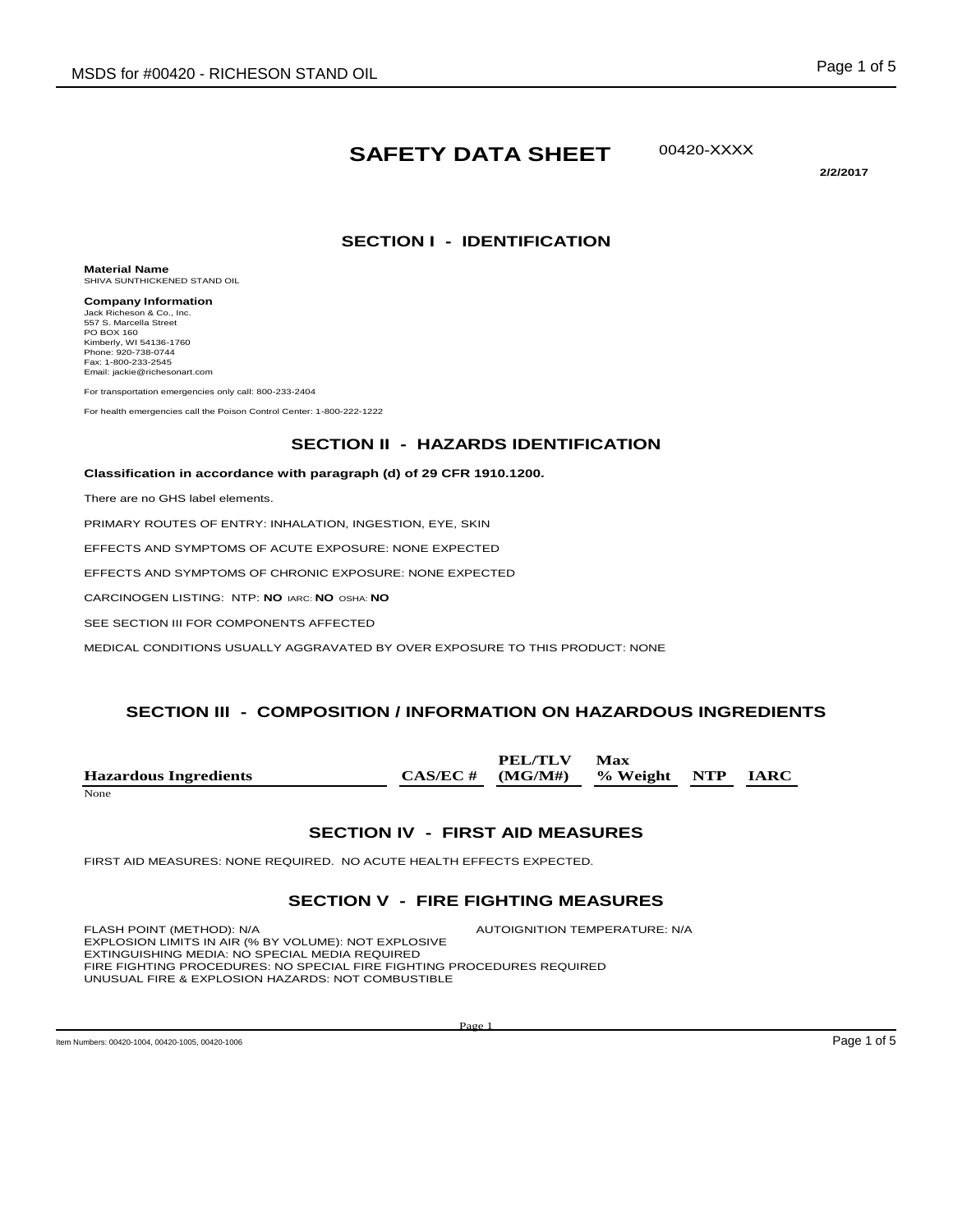# **SAFETY DATA SHEET**

00420-XXXX

**2/2/2017** 

### **SECTION I - IDENTIFICATION**

**Material Name** SHIVA SUNTHICKENED STAND OIL

**Company Information** Jack Richeson & Co., Inc. 557 S. Marcella Street PO BOX 160 Kimberly, WI 54136-1760 Phone: 920-738-0744 Fax: 1-800-233-2545 Email: jackie@richesonart.com

For transportation emergencies only call: 800-233-2404

For health emergencies call the Poison Control Center: 1-800-222-1222

#### **SECTION II - HAZARDS IDENTIFICATION**

#### **Classification in accordance with paragraph (d) of 29 CFR 1910.1200.**

There are no GHS label elements.

PRIMARY ROUTES OF ENTRY: INHALATION, INGESTION, EYE, SKIN

EFFECTS AND SYMPTOMS OF ACUTE EXPOSURE: NONE EXPECTED

EFFECTS AND SYMPTOMS OF CHRONIC EXPOSURE: NONE EXPECTED

CARCINOGEN LISTING: NTP: **NO** IARC: **NO** OSHA: **NO**

SEE SECTION III FOR COMPONENTS AFFECTED

MEDICAL CONDITIONS USUALLY AGGRAVATED BY OVER EXPOSURE TO THIS PRODUCT: NONE

#### **SECTION III - COMPOSITION / INFORMATION ON HAZARDOUS INGREDIENTS**

|                              | PEL/TLV                                | Max |  |
|------------------------------|----------------------------------------|-----|--|
| <b>Hazardous Ingredients</b> | $CAS/EC \# (MG/M\#)$ % Weight NTP IARC |     |  |
| None                         |                                        |     |  |

#### **SECTION IV - FIRST AID MEASURES**

FIRST AID MEASURES: NONE REQUIRED. NO ACUTE HEALTH EFFECTS EXPECTED.

#### **SECTION V - FIRE FIGHTING MEASURES**

FLASH POINT (METHOD): N/A AUTOIGNITION TEMPERATURE: N/A EXPLOSION LIMITS IN AIR (% BY VOLUME): NOT EXPLOSIVE EXTINGUISHING MEDIA: NO SPECIAL MEDIA REQUIRED FIRE FIGHTING PROCEDURES: NO SPECIAL FIRE FIGHTING PROCEDURES REQUIRED UNUSUAL FIRE & EXPLOSION HAZARDS: NOT COMBUSTIBLE

Item Numbers: 00420-1004, 00420-1005, 00420-1006 **Page 1 of 5** Page 1 of 5

Page 1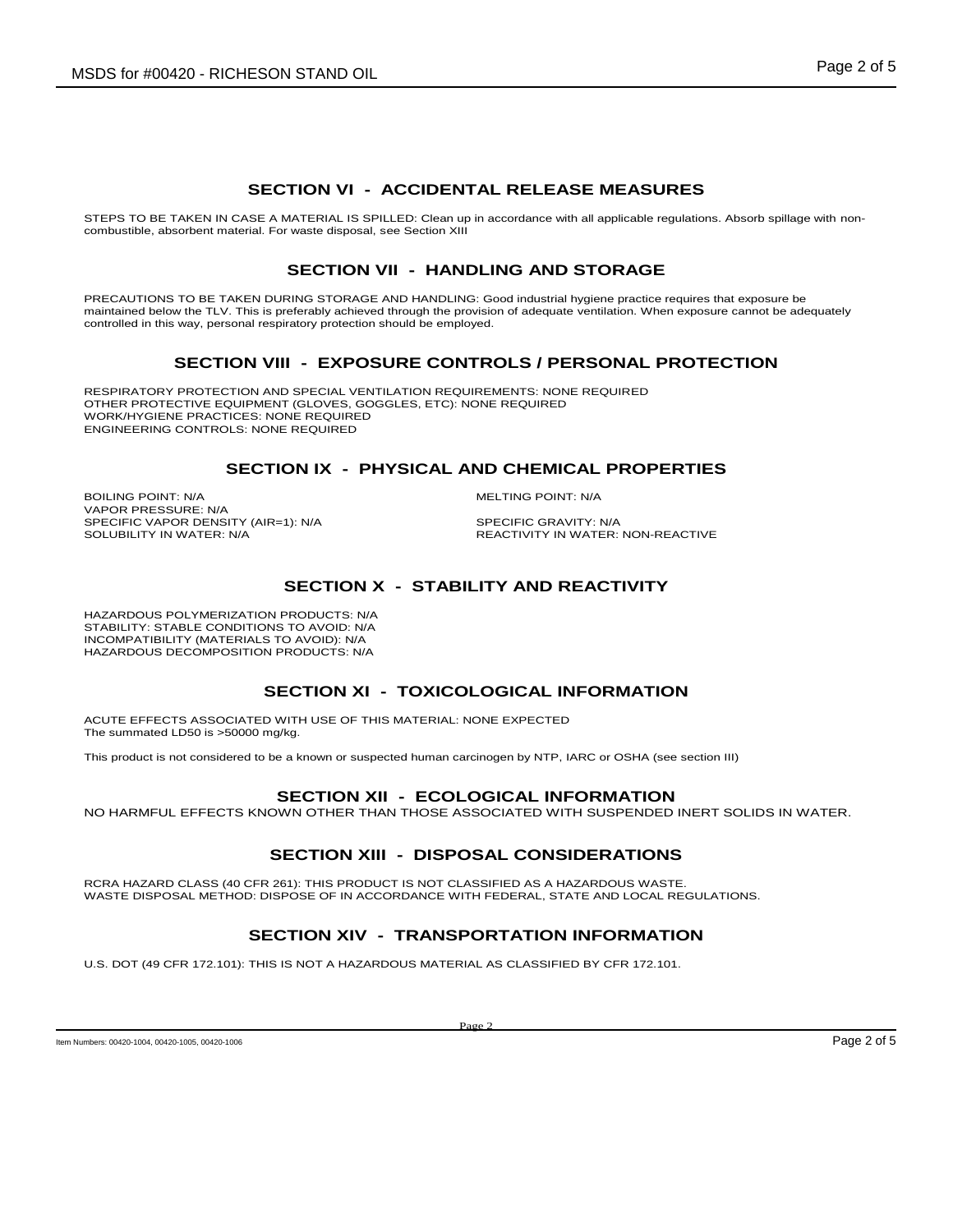### **SECTION VI - ACCIDENTAL RELEASE MEASURES**

STEPS TO BE TAKEN IN CASE A MATERIAL IS SPILLED: Clean up in accordance with all applicable regulations. Absorb spillage with noncombustible, absorbent material. For waste disposal, see Section XIII

# **SECTION VII - HANDLING AND STORAGE**

PRECAUTIONS TO BE TAKEN DURING STORAGE AND HANDLING: Good industrial hygiene practice requires that exposure be maintained below the TLV. This is preferably achieved through the provision of adequate ventilation. When exposure cannot be adequately controlled in this way, personal respiratory protection should be employed.

# **SECTION VIII - EXPOSURE CONTROLS / PERSONAL PROTECTION**

RESPIRATORY PROTECTION AND SPECIAL VENTILATION REQUIREMENTS: NONE REQUIRED OTHER PROTECTIVE EQUIPMENT (GLOVES, GOGGLES, ETC): NONE REQUIRED WORK/HYGIENE PRACTICES: NONE REQUIRED ENGINEERING CONTROLS: NONE REQUIRED

#### **SECTION IX - PHYSICAL AND CHEMICAL PROPERTIES**

BOILING POINT: N/A **MELTING POINT: N/A** VAPOR PRESSURE: N/A SPECIFIC VAPOR DENSITY (AIR=1): N/A SPECIFIC GRAVITY: N/A SOLUBILITY IN WATER: SPECIFIC GRAVITY: N/A

REACTIVITY IN WATER: NON-REACTIVE

# **SECTION X - STABILITY AND REACTIVITY**

HAZARDOUS POLYMERIZATION PRODUCTS: N/A STABILITY: STABLE CONDITIONS TO AVOID: N/A INCOMPATIBILITY (MATERIALS TO AVOID): N/A HAZARDOUS DECOMPOSITION PRODUCTS: N/A

#### **SECTION XI - TOXICOLOGICAL INFORMATION**

ACUTE EFFECTS ASSOCIATED WITH USE OF THIS MATERIAL: NONE EXPECTED The summated LD50 is >50000 mg/kg.

This product is not considered to be a known or suspected human carcinogen by NTP, IARC or OSHA (see section III)

#### **SECTION XII - ECOLOGICAL INFORMATION**

NO HARMFUL EFFECTS KNOWN OTHER THAN THOSE ASSOCIATED WITH SUSPENDED INERT SOLIDS IN WATER.

# **SECTION XIII - DISPOSAL CONSIDERATIONS**

RCRA HAZARD CLASS (40 CFR 261): THIS PRODUCT IS NOT CLASSIFIED AS A HAZARDOUS WASTE. WASTE DISPOSAL METHOD: DISPOSE OF IN ACCORDANCE WITH FEDERAL, STATE AND LOCAL REGULATIONS.

# **SECTION XIV - TRANSPORTATION INFORMATION**

U.S. DOT (49 CFR 172.101): THIS IS NOT A HAZARDOUS MATERIAL AS CLASSIFIED BY CFR 172.101.

Item Numbers: 00420-1004, 00420-1005, 00420-1006 **Page 2 of 5** Page 2 of 5

Page 2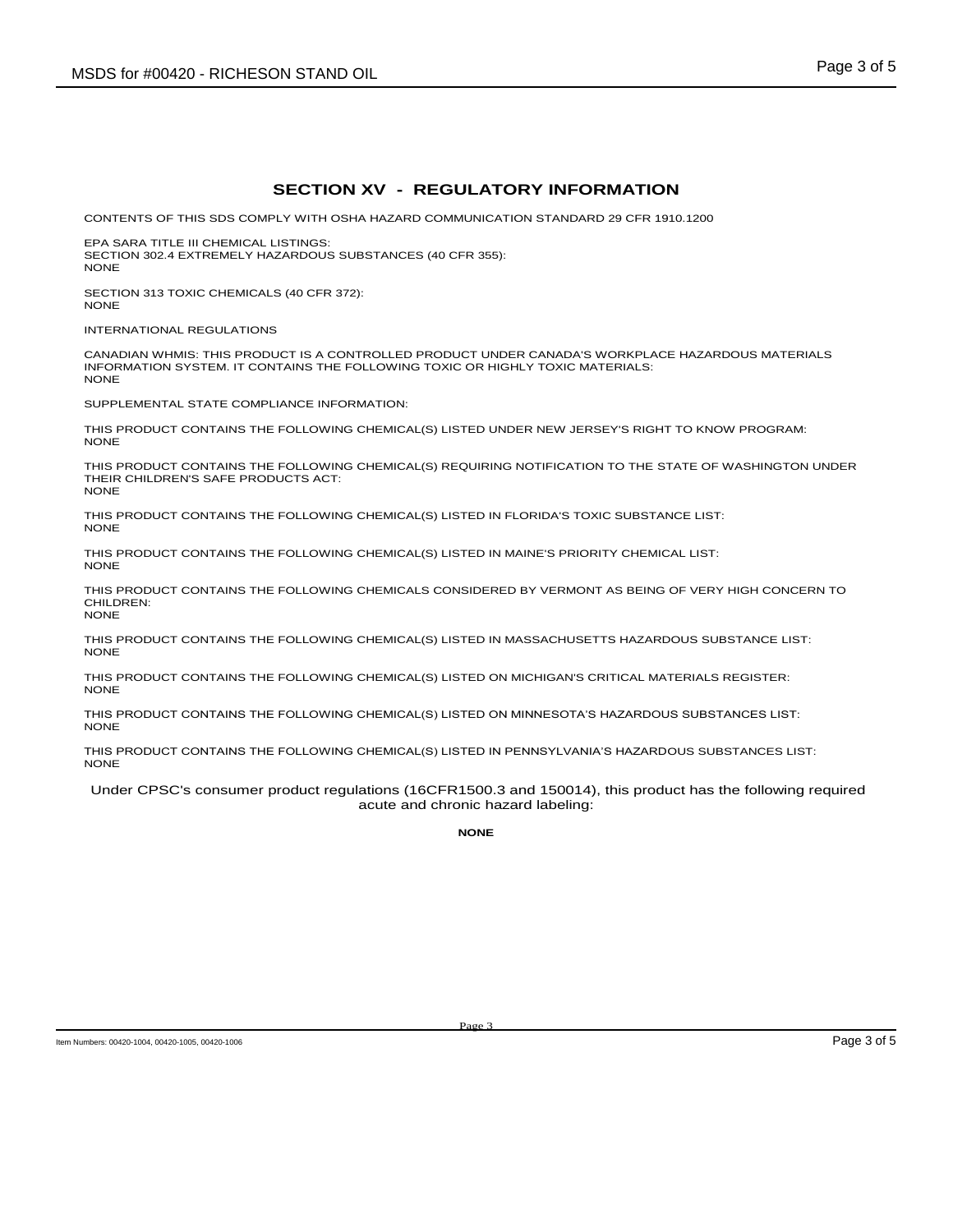### **SECTION XV - REGULATORY INFORMATION**

CONTENTS OF THIS SDS COMPLY WITH OSHA HAZARD COMMUNICATION STANDARD 29 CFR 1910.1200

EPA SARA TITLE III CHEMICAL LISTINGS: SECTION 302.4 EXTREMELY HAZARDOUS SUBSTANCES (40 CFR 355): NONE

SECTION 313 TOXIC CHEMICALS (40 CFR 372): NONE

INTERNATIONAL REGULATIONS

CANADIAN WHMIS: THIS PRODUCT IS A CONTROLLED PRODUCT UNDER CANADA'S WORKPLACE HAZARDOUS MATERIALS INFORMATION SYSTEM. IT CONTAINS THE FOLLOWING TOXIC OR HIGHLY TOXIC MATERIALS: NONE

SUPPLEMENTAL STATE COMPLIANCE INFORMATION:

THIS PRODUCT CONTAINS THE FOLLOWING CHEMICAL(S) LISTED UNDER NEW JERSEY'S RIGHT TO KNOW PROGRAM: **NONE** 

THIS PRODUCT CONTAINS THE FOLLOWING CHEMICAL(S) REQUIRING NOTIFICATION TO THE STATE OF WASHINGTON UNDER THEIR CHILDREN'S SAFE PRODUCTS ACT: NONE

THIS PRODUCT CONTAINS THE FOLLOWING CHEMICAL(S) LISTED IN FLORIDA'S TOXIC SUBSTANCE LIST: NONE

THIS PRODUCT CONTAINS THE FOLLOWING CHEMICAL(S) LISTED IN MAINE'S PRIORITY CHEMICAL LIST: NONE

THIS PRODUCT CONTAINS THE FOLLOWING CHEMICALS CONSIDERED BY VERMONT AS BEING OF VERY HIGH CONCERN TO CHILDREN: NONE

THIS PRODUCT CONTAINS THE FOLLOWING CHEMICAL(S) LISTED IN MASSACHUSETTS HAZARDOUS SUBSTANCE LIST: **NONE** 

THIS PRODUCT CONTAINS THE FOLLOWING CHEMICAL(S) LISTED ON MICHIGAN'S CRITICAL MATERIALS REGISTER: **NONE** 

THIS PRODUCT CONTAINS THE FOLLOWING CHEMICAL(S) LISTED ON MINNESOTA'S HAZARDOUS SUBSTANCES LIST: NONE

THIS PRODUCT CONTAINS THE FOLLOWING CHEMICAL(S) LISTED IN PENNSYLVANIA'S HAZARDOUS SUBSTANCES LIST: NONE

Under CPSC's consumer product regulations (16CFR1500.3 and 150014), this product has the following required acute and chronic hazard labeling:

**NONE**

Item Numbers: 00420-1004, 00420-1005, 00420-1006 **Page 3 of 5** Page 3 of 5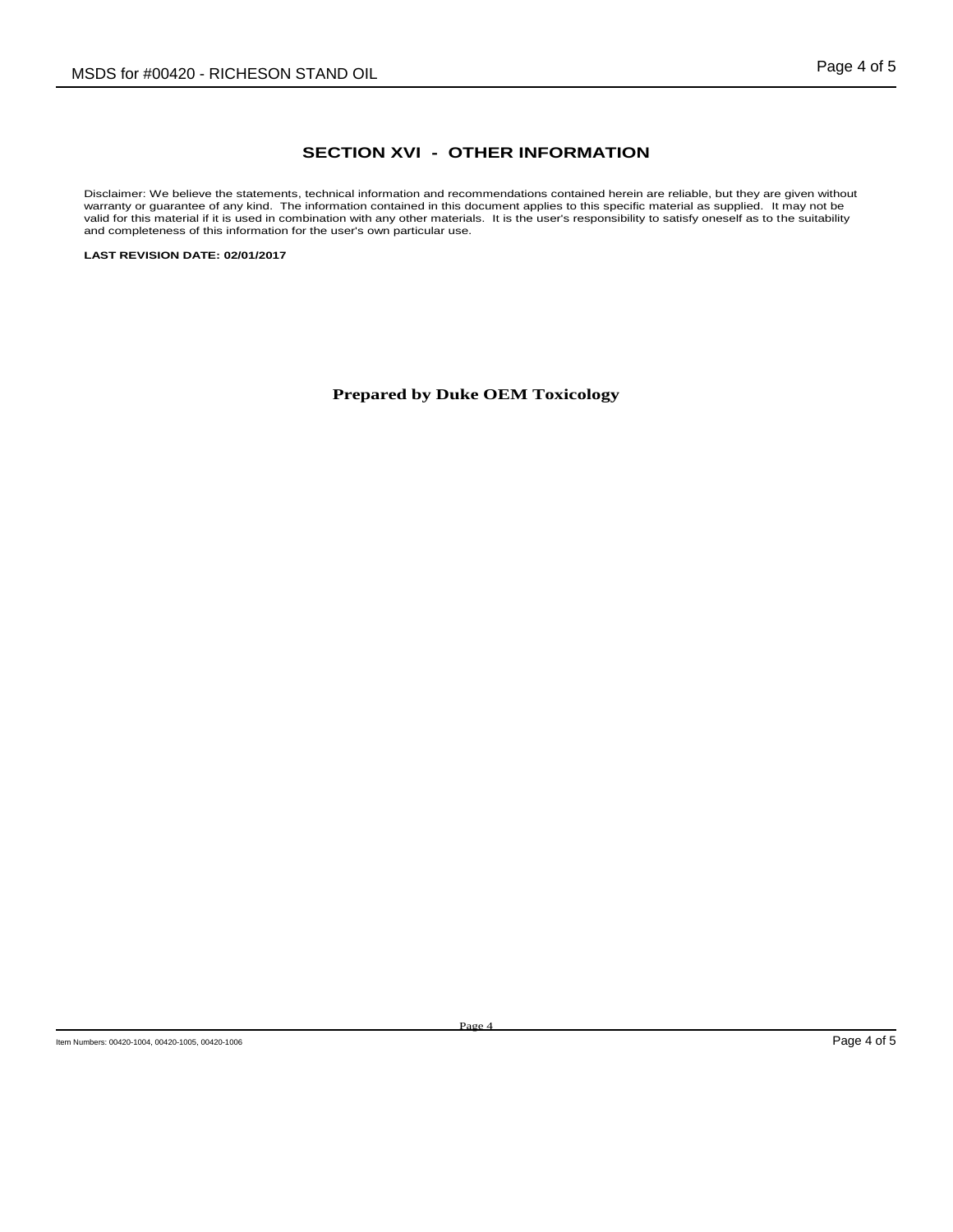# **SECTION XVI - OTHER INFORMATION**

Disclaimer: We believe the statements, technical information and recommendations contained herein are reliable, but they are given without warranty or guarantee of any kind. The information contained in this document applies to this specific material as supplied. It may not be valid for this material if it is used in combination with any other materials. It is the user's responsibility to satisfy oneself as to the suitability and completeness of this information for the user's own particular use.

**LAST REVISION DATE: 02/01/2017**

**Prepared by Duke OEM Toxicology**